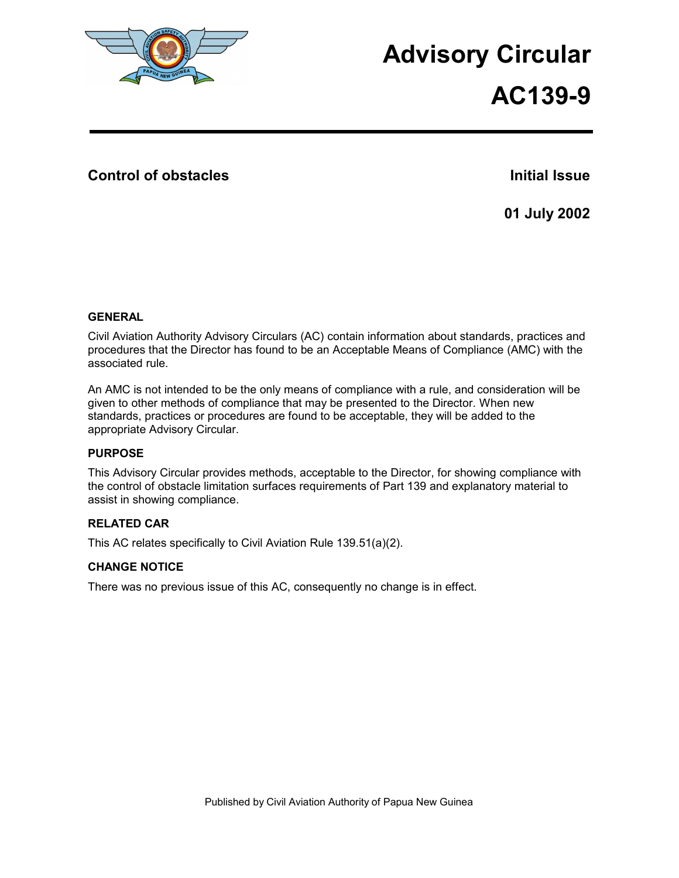

# **Advisory Circular AC139-9**

## **Control of obstacles Initial Issue Initial Issue**

**01 July 2002** 

#### **GENERAL**

Civil Aviation Authority Advisory Circulars (AC) contain information about standards, practices and procedures that the Director has found to be an Acceptable Means of Compliance (AMC) with the associated rule.

An AMC is not intended to be the only means of compliance with a rule, and consideration will be given to other methods of compliance that may be presented to the Director. When new standards, practices or procedures are found to be acceptable, they will be added to the appropriate Advisory Circular.

#### **PURPOSE**

This Advisory Circular provides methods, acceptable to the Director, for showing compliance with the control of obstacle limitation surfaces requirements of Part 139 and explanatory material to assist in showing compliance.

### **RELATED CAR**

This AC relates specifically to Civil Aviation Rule 139.51(a)(2).

#### **CHANGE NOTICE**

There was no previous issue of this AC, consequently no change is in effect.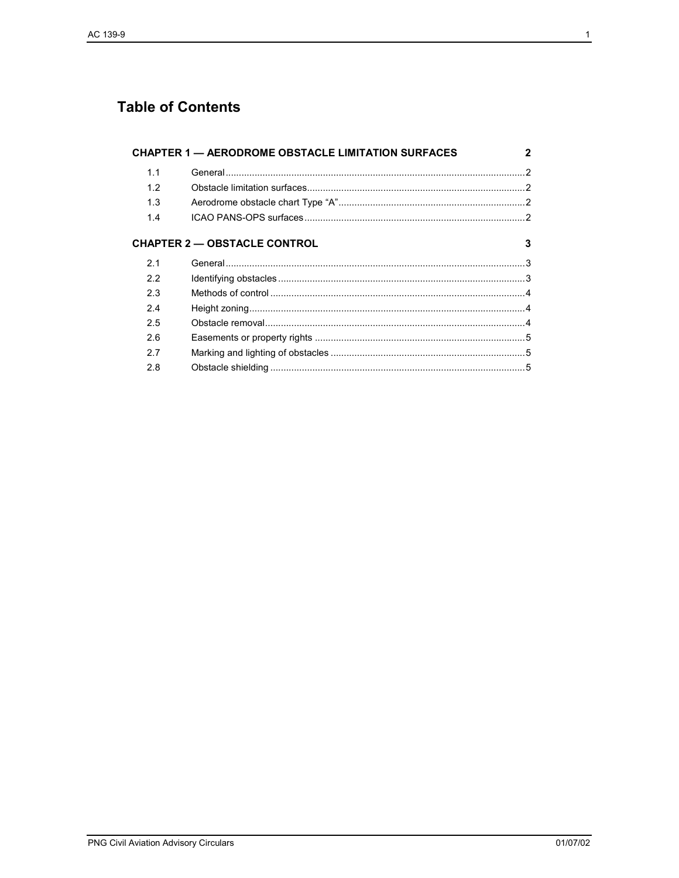# **Table of Contents**

| <b>CHAPTER 1 - AERODROME OBSTACLE LIMITATION SURFACES</b> |                                     | 2 |
|-----------------------------------------------------------|-------------------------------------|---|
| 1.1                                                       |                                     |   |
| 1.2                                                       |                                     |   |
| 1.3                                                       |                                     |   |
| 1.4                                                       |                                     |   |
|                                                           | <b>CHAPTER 2 - OBSTACLE CONTROL</b> | 3 |
| 2.1                                                       |                                     |   |
| 2.2                                                       |                                     |   |
| 2.3                                                       |                                     |   |
| 2.4                                                       |                                     |   |
| 2.5                                                       |                                     |   |
| 26                                                        |                                     |   |
| 2.7                                                       |                                     |   |
| 2.8                                                       |                                     |   |
|                                                           |                                     |   |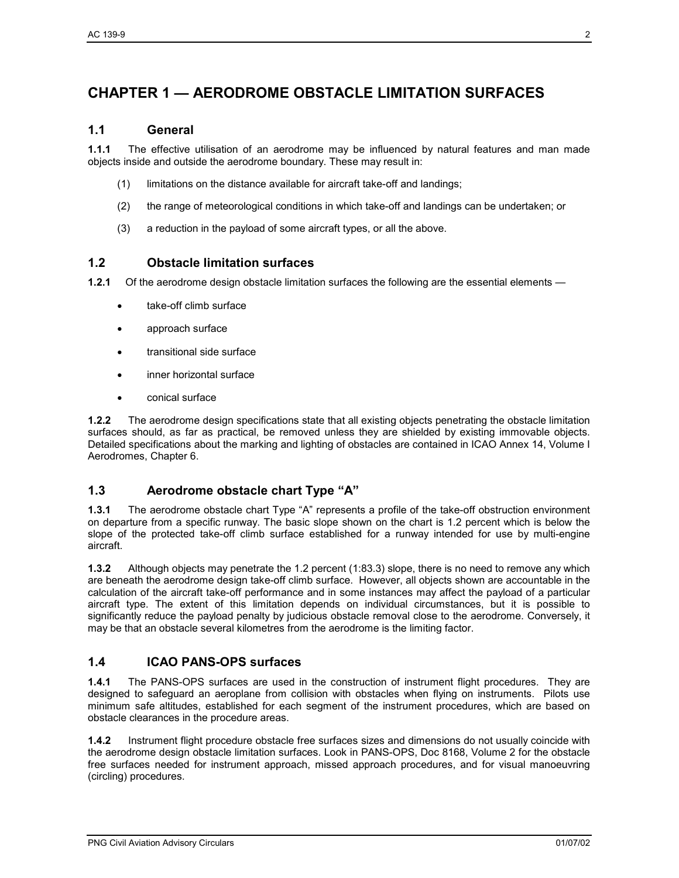# **CHAPTER 1 — AERODROME OBSTACLE LIMITATION SURFACES**

#### **1.1 General**

**1.1.1** The effective utilisation of an aerodrome may be influenced by natural features and man made objects inside and outside the aerodrome boundary. These may result in:

- (1) limitations on the distance available for aircraft take-off and landings;
- (2) the range of meteorological conditions in which take-off and landings can be undertaken; or
- (3) a reduction in the payload of some aircraft types, or all the above.

### **1.2 Obstacle limitation surfaces**

**1.2.1** Of the aerodrome design obstacle limitation surfaces the following are the essential elements —

- take-off climb surface
- approach surface
- transitional side surface
- inner horizontal surface
- conical surface

**1.2.2** The aerodrome design specifications state that all existing objects penetrating the obstacle limitation surfaces should, as far as practical, be removed unless they are shielded by existing immovable objects. Detailed specifications about the marking and lighting of obstacles are contained in ICAO Annex 14, Volume I Aerodromes, Chapter 6.

### **1.3 Aerodrome obstacle chart Type "A"**

**1.3.1** The aerodrome obstacle chart Type "A" represents a profile of the take-off obstruction environment on departure from a specific runway. The basic slope shown on the chart is 1.2 percent which is below the slope of the protected take-off climb surface established for a runway intended for use by multi-engine aircraft.

**1.3.2** Although objects may penetrate the 1.2 percent (1:83.3) slope, there is no need to remove any which are beneath the aerodrome design take-off climb surface. However, all objects shown are accountable in the calculation of the aircraft take-off performance and in some instances may affect the payload of a particular aircraft type. The extent of this limitation depends on individual circumstances, but it is possible to significantly reduce the payload penalty by judicious obstacle removal close to the aerodrome. Conversely, it may be that an obstacle several kilometres from the aerodrome is the limiting factor.

### **1.4 ICAO PANS-OPS surfaces**

**1.4.1** The PANS-OPS surfaces are used in the construction of instrument flight procedures. They are designed to safeguard an aeroplane from collision with obstacles when flying on instruments. Pilots use minimum safe altitudes, established for each segment of the instrument procedures, which are based on obstacle clearances in the procedure areas.

**1.4.2** Instrument flight procedure obstacle free surfaces sizes and dimensions do not usually coincide with the aerodrome design obstacle limitation surfaces. Look in PANS-OPS, Doc 8168, Volume 2 for the obstacle free surfaces needed for instrument approach, missed approach procedures, and for visual manoeuvring (circling) procedures.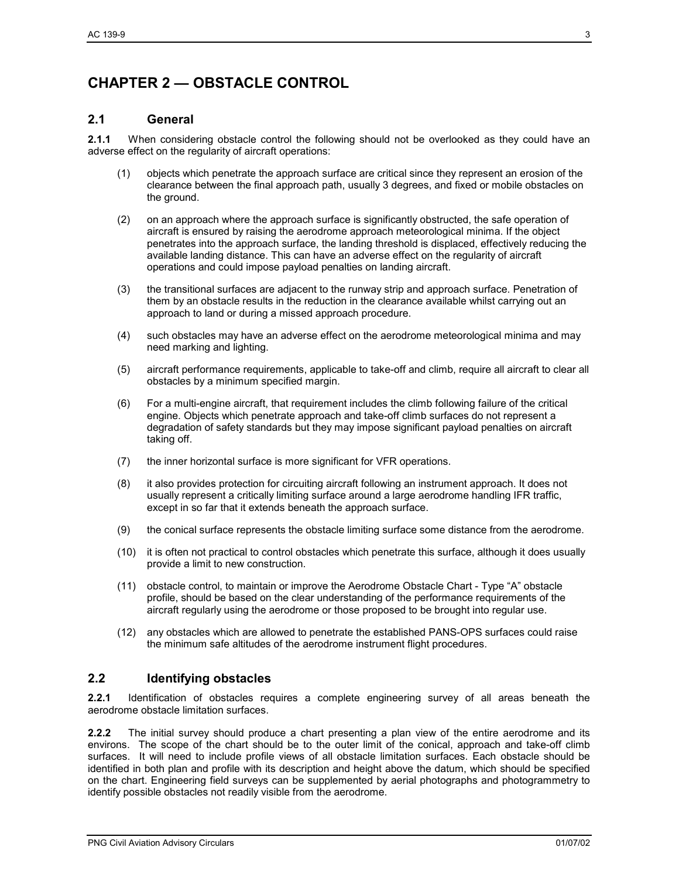# **CHAPTER 2 — OBSTACLE CONTROL**

#### **2.1 General**

**2.1.1** When considering obstacle control the following should not be overlooked as they could have an adverse effect on the regularity of aircraft operations:

- (1) objects which penetrate the approach surface are critical since they represent an erosion of the clearance between the final approach path, usually 3 degrees, and fixed or mobile obstacles on the ground.
- (2) on an approach where the approach surface is significantly obstructed, the safe operation of aircraft is ensured by raising the aerodrome approach meteorological minima. If the object penetrates into the approach surface, the landing threshold is displaced, effectively reducing the available landing distance. This can have an adverse effect on the regularity of aircraft operations and could impose payload penalties on landing aircraft.
- (3) the transitional surfaces are adjacent to the runway strip and approach surface. Penetration of them by an obstacle results in the reduction in the clearance available whilst carrying out an approach to land or during a missed approach procedure.
- (4) such obstacles may have an adverse effect on the aerodrome meteorological minima and may need marking and lighting.
- (5) aircraft performance requirements, applicable to take-off and climb, require all aircraft to clear all obstacles by a minimum specified margin.
- (6) For a multi-engine aircraft, that requirement includes the climb following failure of the critical engine. Objects which penetrate approach and take-off climb surfaces do not represent a degradation of safety standards but they may impose significant payload penalties on aircraft taking off.
- (7) the inner horizontal surface is more significant for VFR operations.
- (8) it also provides protection for circuiting aircraft following an instrument approach. It does not usually represent a critically limiting surface around a large aerodrome handling IFR traffic, except in so far that it extends beneath the approach surface.
- (9) the conical surface represents the obstacle limiting surface some distance from the aerodrome.
- (10) it is often not practical to control obstacles which penetrate this surface, although it does usually provide a limit to new construction.
- (11) obstacle control, to maintain or improve the Aerodrome Obstacle Chart Type "A" obstacle profile, should be based on the clear understanding of the performance requirements of the aircraft regularly using the aerodrome or those proposed to be brought into regular use.
- (12) any obstacles which are allowed to penetrate the established PANS-OPS surfaces could raise the minimum safe altitudes of the aerodrome instrument flight procedures.

#### **2.2 Identifying obstacles**

**2.2.1** Identification of obstacles requires a complete engineering survey of all areas beneath the aerodrome obstacle limitation surfaces.

**2.2.2** The initial survey should produce a chart presenting a plan view of the entire aerodrome and its environs. The scope of the chart should be to the outer limit of the conical, approach and take-off climb surfaces. It will need to include profile views of all obstacle limitation surfaces. Each obstacle should be identified in both plan and profile with its description and height above the datum, which should be specified on the chart. Engineering field surveys can be supplemented by aerial photographs and photogrammetry to identify possible obstacles not readily visible from the aerodrome.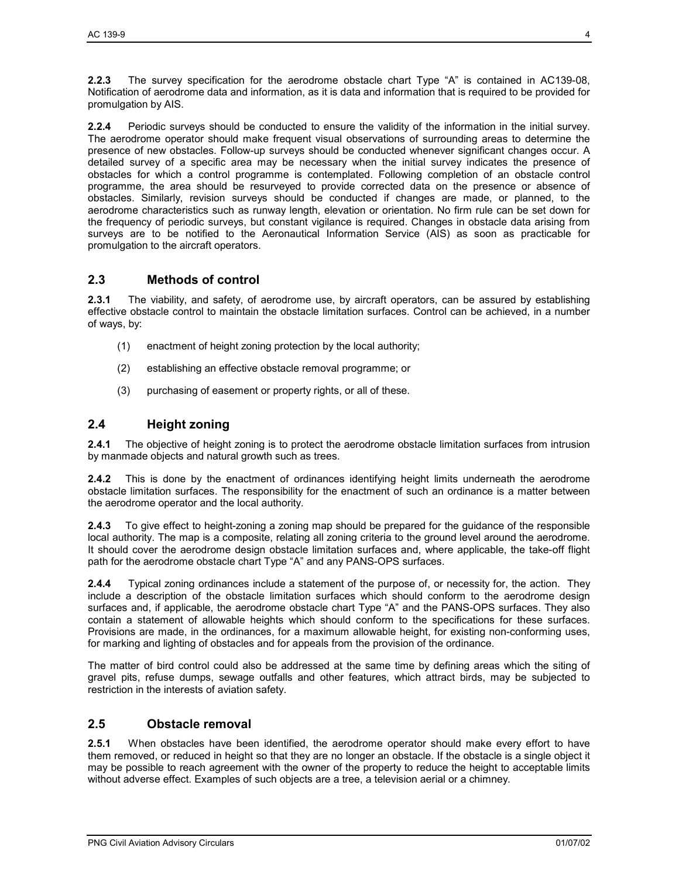**2.2.3** The survey specification for the aerodrome obstacle chart Type "A" is contained in AC139-08, Notification of aerodrome data and information, as it is data and information that is required to be provided for promulgation by AIS.

**2.2.4** Periodic surveys should be conducted to ensure the validity of the information in the initial survey. The aerodrome operator should make frequent visual observations of surrounding areas to determine the presence of new obstacles. Follow-up surveys should be conducted whenever significant changes occur. A detailed survey of a specific area may be necessary when the initial survey indicates the presence of obstacles for which a control programme is contemplated. Following completion of an obstacle control programme, the area should be resurveyed to provide corrected data on the presence or absence of obstacles. Similarly, revision surveys should be conducted if changes are made, or planned, to the aerodrome characteristics such as runway length, elevation or orientation. No firm rule can be set down for the frequency of periodic surveys, but constant vigilance is required. Changes in obstacle data arising from surveys are to be notified to the Aeronautical Information Service (AIS) as soon as practicable for promulgation to the aircraft operators.

## **2.3 Methods of control**

**2.3.1** The viability, and safety, of aerodrome use, by aircraft operators, can be assured by establishing effective obstacle control to maintain the obstacle limitation surfaces. Control can be achieved, in a number of ways, by:

- (1) enactment of height zoning protection by the local authority;
- (2) establishing an effective obstacle removal programme; or
- (3) purchasing of easement or property rights, or all of these.

### **2.4 Height zoning**

**2.4.1** The objective of height zoning is to protect the aerodrome obstacle limitation surfaces from intrusion by manmade objects and natural growth such as trees.

**2.4.2** This is done by the enactment of ordinances identifying height limits underneath the aerodrome obstacle limitation surfaces. The responsibility for the enactment of such an ordinance is a matter between the aerodrome operator and the local authority.

**2.4.3** To give effect to height-zoning a zoning map should be prepared for the guidance of the responsible local authority. The map is a composite, relating all zoning criteria to the ground level around the aerodrome. It should cover the aerodrome design obstacle limitation surfaces and, where applicable, the take-off flight path for the aerodrome obstacle chart Type "A" and any PANS-OPS surfaces.

**2.4.4** Typical zoning ordinances include a statement of the purpose of, or necessity for, the action. They include a description of the obstacle limitation surfaces which should conform to the aerodrome design surfaces and, if applicable, the aerodrome obstacle chart Type "A" and the PANS-OPS surfaces. They also contain a statement of allowable heights which should conform to the specifications for these surfaces. Provisions are made, in the ordinances, for a maximum allowable height, for existing non-conforming uses, for marking and lighting of obstacles and for appeals from the provision of the ordinance.

The matter of bird control could also be addressed at the same time by defining areas which the siting of gravel pits, refuse dumps, sewage outfalls and other features, which attract birds, may be subjected to restriction in the interests of aviation safety.

### **2.5 Obstacle removal**

**2.5.1** When obstacles have been identified, the aerodrome operator should make every effort to have them removed, or reduced in height so that they are no longer an obstacle. If the obstacle is a single object it may be possible to reach agreement with the owner of the property to reduce the height to acceptable limits without adverse effect. Examples of such objects are a tree, a television aerial or a chimney.